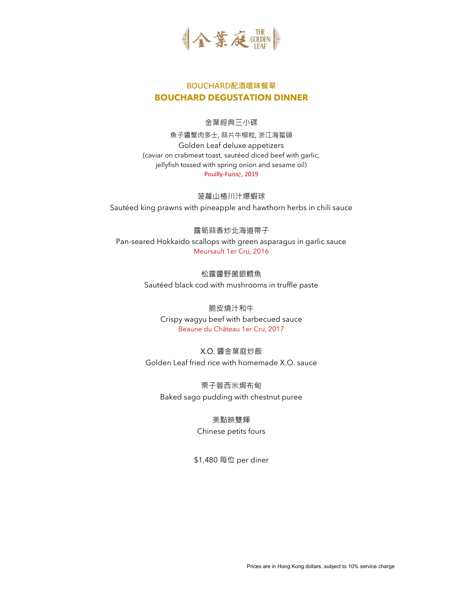

# **BOUCHARD配酒嚐味餐單 BOUCHARD DEGUSTATION DINNER**

#### 金葉經典三小碟

魚子醬蟹肉多士, 蒜片牛柳粒, 浙江海蜇頭 Golden Leaf deluxe appetizers (caviar on crabmeat toast, sautéed diced beef with garlic, jellyfish tossed with spring onion and sesame oil) Pouilly-Fuissé, 2019

菠蘿山楂川汁爆蝦球 Sautéed king prawns with pineapple and hawthorn herbs in chili sauce

露筍蒜香炒北海道帶子 Pan-seared Hokkaido scallops with green asparagus in garlic sauce Meursault 1er Cru, 2016

> 松露醬野菌銀鱈魚 Sautéed black cod with mushrooms in truffle paste

脆皮燒汁和牛 Crispy wagyu beef with barbecued sauce Beaune du Château 1er Cru, 2017

X.O. 醬金葉庭炒飯 Golden Leaf fried rice with homemade X.O. sauce

栗子蓉西米焗布甸 Baked sago pudding with chestnut puree

> 美點映雙輝 Chinese petits fours

\$1,480 每位 per diner